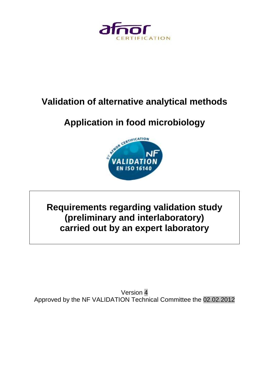

# **Validation of alternative analytical methods**

# **Application in food microbiology**



# **Requirements regarding validation study (preliminary and interlaboratory) carried out by an expert laboratory**

Version 4 Approved by the NF VALIDATION Technical Committee the 02.02.2012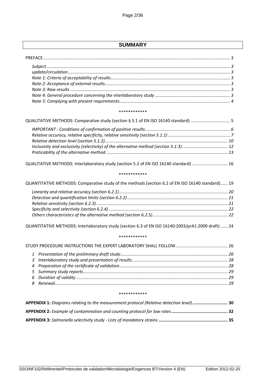# **SUMMARY**

#### \*\*\*\*\*\*\*\*\*\*\*\*

| QUALITATIVE METHODS: Comparative study (section § 5.1 of EN ISO 16140 standard)  5 |  |
|------------------------------------------------------------------------------------|--|
|                                                                                    |  |
|                                                                                    |  |
|                                                                                    |  |
|                                                                                    |  |
|                                                                                    |  |
|                                                                                    |  |

QUALITATIVE METHODS: [Interlaboratory study \(section 5.2 of EN ISO 16140 standard\)](#page-15-0) .............................. 16

#### \*\*\*\*\*\*\*\*\*\*\*\*

| QUANTITATIVE METHODS: Comparative study of the methods (section 6.2 of EN ISO 16140 standard) 19 |  |  |
|--------------------------------------------------------------------------------------------------|--|--|
|                                                                                                  |  |  |

QUANTITATIVE METHODS: Interlaboratory study [\(section 6.3 of EN ISO 16140:2003/prA1:2009 draft\)](#page-23-0) ...... 24

#### \*\*\*\*\*\*\*\*\*\*\*\*

#### \*\*\*\*\*\*\*\*\*\*\*\*

<span id="page-1-0"></span>

| APPENDIX 1: Diagrams relating to the measurement protocol (Relative detection level)  30 |  |
|------------------------------------------------------------------------------------------|--|
|                                                                                          |  |
|                                                                                          |  |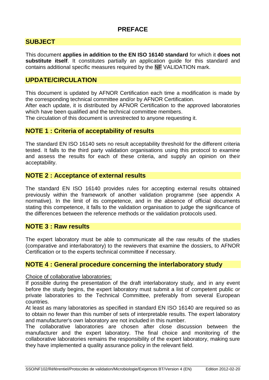# **PREFACE**

# <span id="page-2-0"></span>**SUBJECT**

This document **applies in addition to the EN ISO 16140 standard** for which it **does not substitute itself**. It constitutes partially an application guide for this standard and contains additional specific measures required by the NF VALIDATION mark.

# <span id="page-2-1"></span>**UPDATE/CIRCULATION**

This document is updated by AFNOR Certification each time a modification is made by the corresponding technical committee and/or by AFNOR Certification.

After each update, it is distributed by AFNOR Certification to the approved laboratories which have been qualified and the technical committee members.

The circulation of this document is unrestrected to anyone requesting it.

# <span id="page-2-2"></span>**NOTE 1 : Criteria of acceptability of results**

The standard EN ISO 16140 sets no result acceptability threshold for the different criteria tested. It falls to the third party validation organisations using this protocol to examine and assess the results for each of these criteria, and supply an opinion on their acceptability.

# <span id="page-2-3"></span>**NOTE 2 : Acceptance of external results**

The standard EN ISO 16140 provides rules for accepting external results obtained previously within the framework of another validation programme (see appendix A normative). In the limit of its competence, and in the absence of official documents stating this competence, it falls to the validation organisation to judge the significance of the differences between the reference methods or the validation protocols used.

# <span id="page-2-4"></span>**NOTE 3 : Raw results**

The expert laboratory must be able to communicate all the raw results of the studies (comparative and interlaboratory) to the rewievers that examine the dossiers, to AFNOR Certification or to the experts technical committee if necessary.

# <span id="page-2-5"></span>**NOTE 4 : General procedure concerning the interlaboratory study**

Choice of collaborative laboratories:

If possible during the presentation of the draft interlaboratory study, and in any event before the study begins, the expert laboratory must submit a list of competent public or private laboratories to the Technical Committee, preferably from several European countries.

At least as many laboratories as specified in standard EN ISO 16140 are required so as to obtain no fewer than this number of sets of interpretable results. The expert laboratory and manufacturer's own laboratory are not included in this number.

The collaborative laboratories are chosen after close discussion between the manufacturer and the expert laboratory. The final choice and monitoring of the collaborative laboratories remains the responsibility of the expert laboratory, making sure they have implemented a quality assurance policy in the relevant field.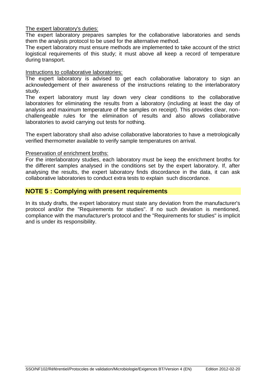The expert laboratory's duties:

The expert laboratory prepares samples for the collaborative laboratories and sends them the analysis protocol to be used for the alternative method.

The expert laboratory must ensure methods are implemented to take account of the strict logistical requirements of this study; it must above all keep a record of temperature during transport.

## Instructions to collaborative laboratories:

The expert laboratory is advised to get each collaborative laboratory to sign an acknowledgement of their awareness of the instructions relating to the interlaboratory study.

The expert laboratory must lay down very clear conditions to the collaborative laboratories for eliminating the results from a laboratory (including at least the day of analysis and maximum temperature of the samples on receipt). This provides clear, nonchallengeable rules for the elimination of results and also allows collaborative laboratories to avoid carrying out tests for nothing.

The expert laboratory shall also advise collaborative laboratories to have a metrologically verified thermometer available to verify sample temperatures on arrival.

### Preservation of enrichment broths:

For the interlaboratory studies, each laboratory must be keep the enrichment broths for the different samples analysed in the conditions set by the expert laboratory. If, after analysing the results, the expert laboratory finds discordance in the data, it can ask collaborative laboratories to conduct extra tests to explain such discordance.

# <span id="page-3-0"></span>**NOTE 5 : Complying with present requirements**

In its study drafts, the expert laboratory must state any deviation from the manufacturer's protocol and/or the "Requirements for studies". If no such deviation is mentioned, compliance with the manufacturer's protocol and the "Requirements for studies" is implicit and is under its responsibility.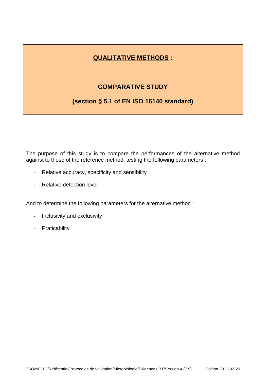# **QUALITATIVE METHODS :**

# **COMPARATIVE STUDY**

# <span id="page-4-0"></span>**(section § 5.1 of EN ISO 16140 standard)**

The purpose of this study is to compare the performances of the alternative method against to those of the reference method, testing the following parameters :

- Relative accuracy, specificity and sensibility
- Relative detection level

And to determine the following parameters for the alternative method :

- Inclusivity and exclusivity
- Praticability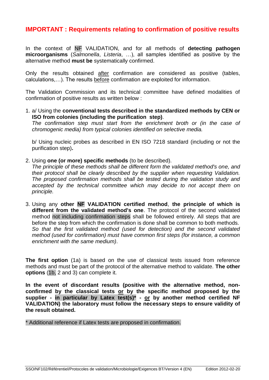# <span id="page-5-0"></span>**IMPORTANT : Requirements relating to confirmation of positive results**

In the context of NF VALIDATION, and for all methods of **detecting pathogen microorganisms** (*Salmonella*, *Listeria*, …), all samples identified as positive by the alternative method **must be** systematically confirmed.

Only the results obtained after confirmation are considered as positive (tables, calculations,…). The results before confirmation are exploited for information.

The Validation Commission and its technical committee have defined modalities of confirmation of positive results as written below :

1. a/ Using the **conventional tests described in the standardized methods by CEN or ISO from colonies (including the purification step)**.

*The confirmation step must start from the enrichment broth or (in the case of chromogenic media) from typical colonies identified on selective media.*

b/ Using nucleic probes as described in EN ISO 7218 standard (including or not the purification step)**.**

2. Using **one (or more) specific methods** (to be described).

*The principle of these methods shall be different form the validated method's one, and their protocol shall be clearly described by the supplier when requesting Validation. The proposed confirmation methods shall be tested during the validation study and accepted by the technical committee which may decide to not accept them on principle.*

3. Using any **other NF VALIDATION certified method**, **the principle of which is different from the validated method's one**. The protocol of the second validated method not including confirmation steps shall be followed entirely. All steps that are before the step from which the confirmation is done shall be common to both methods. *So that the first validated method (used for detection) and the second validated method (used for confirmation) must have common first steps (for instance, a common enrichment with the same medium)*.

**The first option** (1a) is based on the use of classical tests issued from reference methods and must be part of the protocol of the alternative method to validate. **The other options** (1b, 2 and 3) can complete it.

**In the event of discordant results (positive with the alternative method, nonconfirmed by the classical tests or by the specific method proposed by the supplier - in particular by Latex test(s)\* - or by another method certified NF VALIDATION) the laboratory must follow the necessary steps to ensure validity of the result obtained.**

\* Additional reference if Latex tests are proposed in confirmation.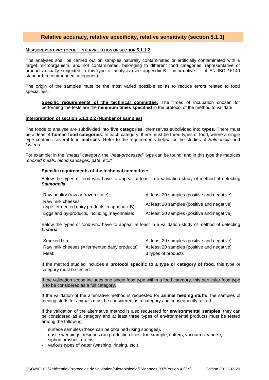### **Relative accuracy, relative specificity, relative sensitivity (section 5.1.1)**

#### <span id="page-6-0"></span>**MEASUREMENT PROTOCOL : INTERPRETATION OF SECTION 5.1.1.2**

The analyses shall be carried out on samples naturally contaminated or artificially contaminated with a target microorganism, and not contaminated, belonging to different food categories, representative of products usually subjected to this type of analysis (see appendix B – informative – of EN ISO 16140 standard: recommended categories).

The origin of the samples must be the most varied possible so as to reduce errors related to food specialities.

**Specific requirements of the technical committee:** The times of incubation chosen for performing the tests are the **minimum times specified** in the protocol of the method to validate.

#### **Interpretation of section 5.1.1.2.2 (Number of samples)**

The foods to analyse are subdivided into **five categories**, themselves subdivided into **types**. There must be at least **4 human food categories**. In each category, there must be three types of food, where a single type contains several food **matrices**. Refer to the requirements below for the studies of *Salmonella* and *Listeria*.

For example: in the "*meats*" category, the "*heat-processed*" type can be found, and in this type the matrices "*cooked meals, blood sausages, pâté*, etc."

#### **Specific requirements of the technical committee:**

Below the types of food who have to appear at least in a validation study of method of detecting *Salmonella*:

| Raw poultry (raw or frozen state):                                 | At least 20 samples (positive and negative) |
|--------------------------------------------------------------------|---------------------------------------------|
| Raw milk cheeses<br>(type fermented dairy products in appendix B): | At least 20 samples (positive and negative) |
| Eggs and by-products, including mayonnaise:                        | At least 20 samples (positive and negative) |

Below the types of food who have to appear at least in a validation study of method of detecting *Listeria*:

| Smoked fish:                                                                               | At least 20 samples (positive and negative) |
|--------------------------------------------------------------------------------------------|---------------------------------------------|
| Raw milk cheeses (= fermented dairy products): At least 20 samples (positive and negative) |                                             |
| Meat:                                                                                      | 3 types of products                         |

If the method studied includes a **protocol specific to a type or category of food**, this type or category must be tested.

#### If the validation scope includes one single food type within a food category, this particular food type is to be considered as a full category.

If the validation of the alternative method is requested for **animal feeding stuffs**, the samples of feeding stuffs for animals must be considered as a category and consequently tested.

If the validation of the alternative method is also requested for **environmental samples**, they can be considered as a category and at least three types of environmental products must be tested among the following:

- surface samples (these can be obtained using sponges),
- dust, sweepings, residues (on production lines, for example, cutters, vacuum cleaners),
- siphon brushes, drains,
- various types of water (washing, rinsing, etc.)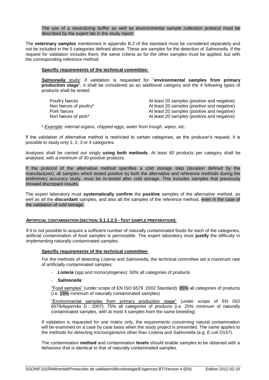The use of a neutralizing buffer as well as environmental sample collection protocol must be described by the expert lab in the study report.

The **veterinary samples** mentionned in appendix B.2 of the standard must be considered separately and not be included in the 5 categories defined above. These are samples for the detection of *Salmonella*. If the request for validation includes them, the same criteria as for the other samples must be applied, but with the corresponding reference method.

#### **Specific requirements of the technical committee:**

**Salmonella** study: if validation is requested for "environmental samples from primary **production stage**", it shall be considered as an additional category and the 4 following types of products shall be tested:

| Poultry faeces         | At least 20 samples (positive and negative) |
|------------------------|---------------------------------------------|
| Non faeces of poultry* | At least 20 samples (positive and negative) |
| Pork faeces            | At least 20 samples (positive and negative) |
| Non faeces of pork*    | At least 20 samples (positive and negative) |

*\* Example: internal organs, chipped eggs, water from trough, wipes, etc.*

If the validation of alternative method is restricted to certain categories, as the producer's request, it is possible to study only 1, 2, 3 or 4 categories.

Analyses shall be carried out singly **using both methods**. At least 60 products per category shall be analysed, with a minimum of 30 positive products.

If the protocol of the alternative method specifies a cold storage step (duration defined by the manufacturer), all samples which tested positive by both the alternative and reference methods during the preliminary accuracy study, must be re-tested after cold storage. This includes samples that previously showed discrepant results.

The expert laboratory must **systematically confirm** the **positive** samples of the alternative method, as well as all the **discordant** samples, and also all the samples of the reference method, even in the case of the validation of cold storage.

#### **ARTIFICIAL CONTAMINATION (SECTION. 5.1.1.2.3 - TEST SAMPLE PREPARATION):**

If it is not possible to acquire a sufficient number of naturally contaminated foods for each of the categories, artificial contamination of food samples is permissible. The expert laboratory must **justify** the difficulty in implementing naturally contaminated samples.

#### **Specific requirements of the technical committee:**

For the methods of detecting *Listeria* and *Salmonella*, the technical committee set a maximum rate of artificially contaminated samples:

- *Listeria* (spp and monocytogenes): 50% all categories of products

#### - *Salmonella*:

―Food samples‖ (under scope of EN ISO 6579 :2002 Standard): 85% all categories of products (i.e. 15% minimum of naturally contaminated samples)

"Environmental samples from primary production stage" (under scope of EN ISO 6579/Appendix D : 2007): 75% all categories of products (i.e. 25% minimum of naturally contaminated samples, with at most 4 samples from the same breeding)

If validation is requested for one matrix only, the requirements concerning natural contamination will be examined on a case by case basis when the study project is presented. The same applies to the methods for detecting microorganisms other than *Listeria* and *Salmonella* (e.g. *E.coli* O157).

The contamination **method** and contamination **levels** should enable samples to be obtained with a behaviour that is identical to that of naturally contaminated samples.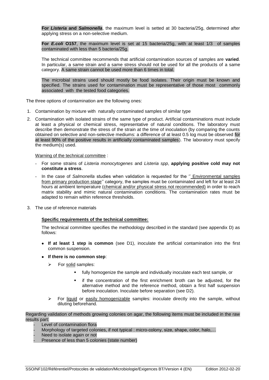**For** *Listeria* **and** *Salmonella*, the maximum level is setted at 30 bacteria/25g, determined after applying stress on a non-selective medium.

**For** *E.coli* **O157**, the maximum level is set at 15 bacteria/25g, with at least 1/3 of samples contaminated with less than 5 bacteria/25g.

The technical committee recommends that artificial contamination sources of samples are **varied**. In particular, a same strain and a same stress should not be used for all the products of a same category. A same strain cannot be used more than 6 times in total.

The microbial strains used should mostly be food isolates. Their origin must be known and specified. The strains used for contamination must be representative of those most commonly associated with the tested food categories.

The three options of contamination are the following ones:

- 1. Contamination by mixture with naturally contaminated samples of similar type
- 2. Contamination with isolated strains of the same type of product. Artificial contaminations must include at least a physical or chemical stress, representative of natural conditions. The laboratory must describe then demonstrate the stress of the strain at the time of inoculation (by comparing the counts obtained on selective and non-selective mediums: a difference of at least 0.5 log must be observed for at least 90% of the positive results in artificially contaminated samples). The laboratory must specify the medium(s) used.

Warning of the technical committee :

- For some strains of *Listeria monocytogenes* and *Listeria spp*, **applying positive cold may not constitute a stress**.
- In the case of *Salmonella* studies when validation is requested for the " Environmental samples from primary production stage'' category, the samples must be contaminated and left for at least 24 hours at ambient temperature (chemical and/or physical stress not recommended) in order to reach matrix stability and mimic natural contamination conditions. The contamination rates must be adapted to remain within reference thresholds.
- 3. The use of reference materials

#### **Specific requirements of the technical committee:**

The technical committee specifies the methodology described in the standard (see appendix D) as follows:

- **If at least 1 step is common** (see D1), inoculate the artificial contamination into the first common suspension.
- **If there is no common step**:
	- $\triangleright$  For solid samples:
		- fully homogenize the sample and individually inoculate each test sample, or
		- if the concentration of the first enrichment broth can be adjusted, for the alternative method and the reference method, obtain a first half suspension before inoculation. Inoculate before separation (see D2).
	- $\triangleright$  For liquid or easily homogenizable samples: inoculate directly into the sample, without diluting beforehand.

Regarding validation of methods growing colonies on agar, the following items must be included in the raw results part:

- Level of contamination flora
- Morphology of targeted colonies, if not typical : micro-colony, size, shape, color, halo,...
- Need to isolate again or not
- Presence of less than 5 colonies (state number)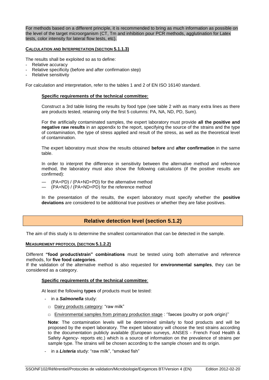For methods based on a different principle, it is recommended to bring as much information as possible on the level of the target microorganism (CT, Tm and inhibition pour PCR methods, agglutination for Latex tests, color intensity for lateral flow tests, etc).

#### **CALCULATION AND INTERPRETATION (SECTION 5.1.1.3)**

The results shall be exploited so as to define:

- Relative accuracy
- Relative specificity (before and after confirmation step)
- Relative sensitivity

For calculation and interpretation, refer to the tables 1 and 2 of EN ISO 16140 standard.

#### **Specific requirements of the technical committee:**

Construct a 3rd table listing the results by food type (see table 2 with as many extra lines as there are products tested, retaining only the first 5 columns: PA, NA, ND, PD, Sum).

For the artificially contaminated samples, the expert laboratory must provide **all the positive and negative raw results** in an appendix to the report, specifying the source of the strains and the type of contamination, the type of stress applied and result of the stress, as well as the theoretical level of contamination.

The expert laboratory must show the results obtained **before** and **after confirmation** in the same table.

In order to interpret the difference in sensitivity between the alternative method and reference method, the laboratory must also show the following calculations (if the positive results are confirmed):

- ― (PA+PD) / (PA+ND+PD) for the alternative method
- ― (PA+ND) / (PA+ND+PD) for the reference method

In the presentation of the results, the expert laboratory must specify whether the **positive deviations** are considered to be additional true positives or whether they are false positives.

### **Relative detection level (section 5.1.2)**

<span id="page-9-0"></span>The aim of this study is to determine the smallest contamination that can be detected in the sample.

#### **MEASUREMENT PROTOCOL (SECTION 5.1.2.2)**

Different **"food product/strain" combinations** must be tested using both alternative and reference methods, for **five food categories**.

If the validation of the alternative method is also requested for **environmental samples**, they can be considered as a category.

#### **Specific requirements of the technical committee**:

At least the following **types** of products must be tested:

- in a *Salmonella* study:
	- □ Dairy products category: "raw milk"
	- □ Environmental samples from primary production stage : "faeces (poultry or pork origin)"

**Note**: The contamination levels will be determined similarly to food products and will be proposed by the expert laboratory. The expert laboratory will choose the test strains according to the documentation publicly available (European surveys, ANSES - French Food Health & Safety Agency- reports etc.) which is a source of information on the prevalence of strains per sample type. The strains will be chosen according to the sample chosen and its origin.

- in a *Listeria* study: "raw milk", "smoked fish"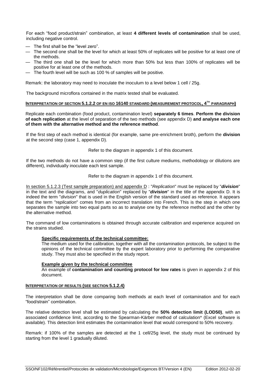For each "food product/strain" combination, at least 4 different levels of contamination shall be used, including negative control.

- The first shall be the "level zero".
- The second one shall be the level for which at least 50% of replicates will be positive for at least one of the methods.
- The third one shall be the level for which more than 50% but less than 100% of replicates will be positive for at least one of the methods.
- The fourth level will be such as 100 % of samples will be positive.

Remark: the laboratory may need to inoculate the inoculum to a level below 1 cell / 25g.

The background microflora contained in the matrix tested shall be evaluated.

#### **INTERPRETATION OF SECTION 5.1.2.2 OF EN ISO 16140 STANDARD (MEASUREMENT PROTOCOL, 4 TH PARAGRAPH)**

Replicate each combination (food product, contamination level) **separately 6 times**. **Perform the division of each replication** at the level of separation of the two methods (see appendix D) **and analyse each one of them with the alternative method and the reference method**.

If the first step of each method is identical (for example, same pre-enrichment broth), perform the **division** at the second step (case 1, appendix D).

Refer to the diagram in appendix 1 of this document.

If the two methods do not have a common step (if the first culture mediums, methodology or dilutions are different), individually inoculate each test sample.

Refer to the diagram in appendix 1 of this document.

In section 5.1.2.3 (Test sample preparation) and appendix D : "Replication" must be replaced by "division" in the text and the diagrams, and "*duplication*" replaced by "*division*" in the title of the appendix D. It is indeed the term "*division*" that is used in the English version of the standard used as reference. It appears that the term "re*plication*" comes from an incorrect translation into French. This is the step in which one separates the sample into two equal parts so as to analyse one by the reference method and the other by the alternative method.

The command of low contaminations is obtained through accurate calibration and experience acquired on the strains studied.

#### **Specific requirements of the technical committee:**

The medium used for the calibration, together with all the contamination protocols, be subject to the opinions of the technical committee by the expert laboratory prior to performing the comparative study. They must also be specified in the study report.

#### **Example given by the technical committee**

An example of **contamination and counting protocol for low rates** is given in appendix 2 of this document.

#### **INTERPRETATION OF RESULTS (SEE SECTION 5.1.2.4)**

The interpretation shall be done comparing both methods at each level of contamination and for each ―food/strain‖ combination.

The relative detection level shall be estimated by calculating the **50% detection limit (LOD50)**, with an associated confidence limit, according to the Spearman-Kärber method of calculation\* (Excel software is available). This detection limit estimates the contamination level that would correspond to 50% recovery.

Remark: if 100% of the samples are detected at the 1 cell/25g level, the study must be continued by starting from the level 1 gradually diluted.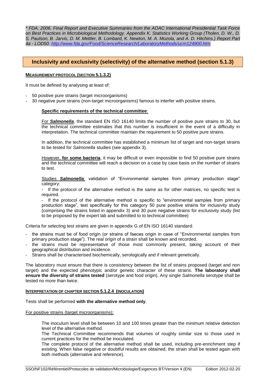*\* FDA. 2006. Final Report and Executive Summaries from the AOAC International Presidential Task Force on Best Practices in Microbiological Methodology. Appendix K. Statistics Working Group (Tholen, D. W., D. S. Paulson, B. Jarvis, D. M. Mettler, B. Lombard, K. Newton, M. A. Mozola, and A. D. Hitchins.) Report Part 4a - LOD50. <http://www.fda.gov/Food/ScienceResearch/LaboratoryMethods/ucm124900.htm>*

### <span id="page-11-0"></span>**Inclusivity and exclusivity (selectivity) of the alternative method (section 5.1.3)**

#### **MEASUREMENT PROTOCOL (SECTION 5.1.3.2)**

It must be defined by analysing at least of:

- 50 positive pure strains (target microorganisms)
- 30 negative pure strains (non-target microorganisms) famous to interfer with positive strains.

#### **Specific requirements of the technical committee**:

For *Salmonella*, the standard EN ISO 16140 limits the number of positive pure strains to 30, but the technical committee estimates that this number is insufficient in the event of a difficulty in interpretation. The technical committee maintain the requirement to 50 positive pure strains.

In addition, the technical committee has established a minimum list of target and non-target strains to be tested for *Salmonella* studies (see appendix 3).

However, **for some bacteria**, it may be difficult or even impossible to find 50 positive pure strains and the technical committee will reach a decision on a case by case basis on the number of strains to test.

Studies **Salmonella:** validation of "Environmental samples from primary production stage" category:

- If the protocol of the alternative method is the same as for other matrices, no specific test is required.

- If the protocol of the alternative method is specific to "environmental samples from primary production stage", test specifically for this category 50 pure positive strains for inclusivity study (comprising the strains listed in appendix 3) and 30 pure negative strains for exclusivity study (list to be proposed by the expert lab and submitted to to technical committee)

Criteria for selecting test strains are given in appendix G of EN ISO 16140 standard:

- the strains must be of food origin (or strains of faeces origin in case of "Environmental samples from primary production stage"). The real origin of a strain shall be known and recorded.
- the strains must be representative of those most commonly present, taking account of their geographical distribution and incidence.
- Strains shall be characterised biochemically, serologically and if relevant genetically.

The laboratory must ensure that there is consistency between the list of strains proposed (target and non target) and the expected phenotypic and/or genetic character of these strains. **The laboratory shall ensure the diversity of strains tested** (serotype and food origin). Any single *Salmonella* serotype shall be tested no more than twice.

#### **INTERPRETATION OF CHAPTER SECTION 5.1.2.4 (INOCULATION)**

Tests shall be performed **with the alternative method only**.

For positive strains (target microorganisms):

The inoculum level shall be between 10 and 100 times greater than the minimum relative detection level of the alternative method.

The Technical Committee recommends that volumes of roughly similar size to those used in current practices for the method be inoculated.

The complete protocol of the alternative method shall be used, including pre-enrichment step if existing. When false negative or doubtful results are obtained, the strain shall be tested again with both methods (alternative and reference).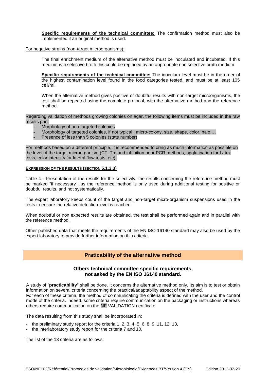**Specific requirements of the technical committee:** The confirmation method must also be implemented if an original method is used.

For negative strains (non-target microorganisms):

The final enrichment medium of the alternative method must be inoculated and incubated. If this medium is a selective broth this could be replaced by an appropriate non selective broth medium.

**Specific requirements of the technical committee:** The inoculum level must be in the order of the highest contamination level found in the food categories tested, and must be at least 105 cell/ml.

When the alternative method gives positive or doubtful results with non-target microorganisms, the test shall be repeated using the complete protocol, with the alternative method and the reference method.

Regarding validation of methods growing colonies on agar, the following items must be included in the raw results part:

- Morphology of non-targeted colonies
- Morphology of targeted colonies, if not typical : micro-colony, size, shape, color, halo,...
- Presence of less than 5 colonies (state number)

For methods based on a different principle, it is recommended to bring as much information as possible on the level of the target microorganism (CT, Tm and inhibition pour PCR methods, agglutination for Latex tests, color intensity for lateral flow tests, etc).

#### **EXPRESSION OF THE RESULTS (SECTION 5.1.3.3)**

Table 4 - Presentation of the results for the selectivity: the results concerning the reference method must be marked "if necessary", as the reference method is only used during additional testing for positive or doubtful results, and not systematically.

The expert laboratory keeps count of the target and non-target micro-organism suspensions used in the tests to ensure the relative detection level is reached.

When doubtful or non expected results are obtained, the test shall be performed again and in parallel with the reference method.

<span id="page-12-0"></span>Other published data that meets the requirements of the EN ISO 16140 standard may also be used by the expert laboratory to provide further information on this criteria.

## **Praticability of the alternative method**

#### **Others technical committee specific requirements, not asked by the EN ISO 16140 standard.**

A study of "**practicability**" shall be done. It concerns the alternative method only. Its aim is to test or obtain information on several criteria concerning the practical/adaptability aspect of the method. For each of these criteria, the method of communicating the criteria is defined with the user and the control mode of the criteria. Indeed, some criteria require communication on the packaging or instructions whereas others require communication on the NF VALIDATION certificate.

The data resulting from this study shall be incorporated in:

- the preliminary study report for the criteria 1, 2, 3, 4, 5, 6, 8, 9, 11, 12, 13,
- the interlaboratory study report for the criteria 7 and 10.

The list of the 13 criteria are as follows: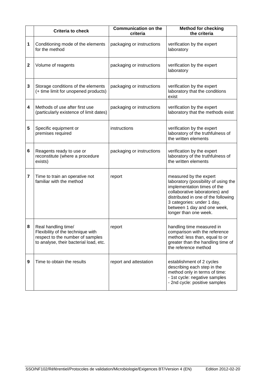|             | <b>Criteria to check</b>                                                                                                               | <b>Communication on the</b><br>criteria | <b>Method for checking</b><br>the criteria                                                                                                                                                                                                                    |
|-------------|----------------------------------------------------------------------------------------------------------------------------------------|-----------------------------------------|---------------------------------------------------------------------------------------------------------------------------------------------------------------------------------------------------------------------------------------------------------------|
| 1           | Conditioning mode of the elements<br>for the method                                                                                    | packaging or instructions               | verification by the expert<br>laboratory                                                                                                                                                                                                                      |
| $\mathbf 2$ | Volume of reagents                                                                                                                     | packaging or instructions               | verification by the expert<br>laboratory                                                                                                                                                                                                                      |
| 3           | Storage conditions of the elements<br>(+ time limit for unopened products)                                                             | packaging or instructions               | verification by the expert<br>laboratory that the conditions<br>exist                                                                                                                                                                                         |
| 4           | Methods of use after first use<br>(particularly existence of limit dates)                                                              | packaging or instructions               | verification by the expert<br>laboratory that the methods exist                                                                                                                                                                                               |
| 5           | Specific equipment or<br>premises required                                                                                             | instructions                            | verification by the expert<br>laboratory of the truthfulness of<br>the written elements                                                                                                                                                                       |
| 6           | Reagents ready to use or<br>reconstitute (where a procedure<br>exists)                                                                 | packaging or instructions               | verification by the expert<br>laboratory of the truthfulness of<br>the written elements                                                                                                                                                                       |
| 7           | Time to train an operative not<br>familiar with the method                                                                             | report                                  | measured by the expert<br>laboratory (possibility of using the<br>implementation times of the<br>collaborative laboratories) and<br>distributed in one of the following<br>3 categories: under 1 day,<br>between 1 day and one week,<br>longer than one week. |
| 8           | Real handling time/<br>Flexibility of the technique with<br>respect to the number of samples<br>to analyse, their bacterial load, etc. | report                                  | handling time measured in<br>comparison with the reference<br>method: less than, equal to or<br>greater than the handling time of<br>the reference method                                                                                                     |
| 9           | Time to obtain the results                                                                                                             | report and attestation                  | establishment of 2 cycles<br>describing each step in the<br>method only in terms of time:<br>- 1st cycle: negative samples<br>- 2nd cycle: positive samples                                                                                                   |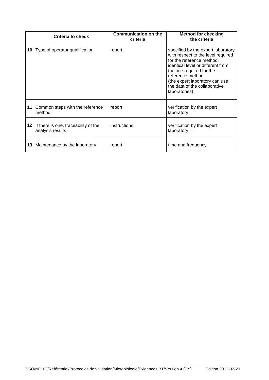|      | <b>Criteria to check</b>                                    | <b>Communication on the</b><br>criteria | <b>Method for checking</b><br>the criteria                                                                                                                                                                                                                                     |
|------|-------------------------------------------------------------|-----------------------------------------|--------------------------------------------------------------------------------------------------------------------------------------------------------------------------------------------------------------------------------------------------------------------------------|
|      | <b>10</b> Type of operator qualification                    | report                                  | specified by the expert laboratory<br>with respect to the level required<br>for the reference method:<br>identical level or different from<br>the one required for the<br>reference method<br>(the expert laboratory can use<br>the data of the collaborative<br>laboratories) |
| 11 I | Common steps with the reference<br>method                   | report                                  | verification by the expert<br>laboratory                                                                                                                                                                                                                                       |
|      | 12 If there is one, traceability of the<br>analysis results | instructions                            | verification by the expert<br>laboratory                                                                                                                                                                                                                                       |
| 13   | Maintenance by the laboratory                               | report                                  | time and frequency                                                                                                                                                                                                                                                             |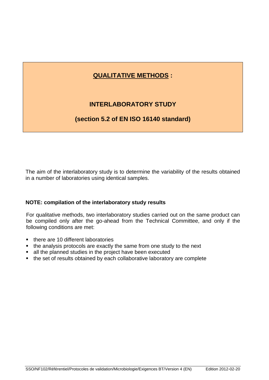# **QUALITATIVE METHODS :**

# **INTERLABORATORY STUDY**

# <span id="page-15-0"></span>**(section 5.2 of EN ISO 16140 standard)**

The aim of the interlaboratory study is to determine the variability of the results obtained in a number of laboratories using identical samples.

# **NOTE: compilation of the interlaboratory study results**

For qualitative methods, two interlaboratory studies carried out on the same product can be compiled only after the go-ahead from the Technical Committee, and only if the following conditions are met:

- there are 10 different laboratories
- the analysis protocols are exactly the same from one study to the next
- all the planned studies in the project have been executed
- the set of results obtained by each collaborative laboratory are complete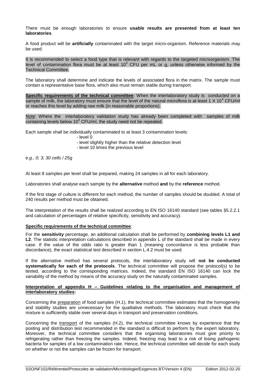There must be enough laboratories to ensure **usable results are presented from at least ten laboratories**.

A food product will be **artificially** contaminated with the target micro-organism. Reference materials may be used.

It is recommended to select a food type that is relevant with regards to the targeted microorganism. The level of contamination flora must be at least 10 $3$  CFU per mL or g, unless otherwise informed by the Technical Committee.

The laboratory shall determine and indicate the levels of associated flora in the matrix. The sample must contain a representative base flora, which also must remain stable during transport.

**Specific requirements of the technical committee**: When the interlaboratory study is conducted on a sample of milk, the laboratory must ensure that the level of the natural microflora is at least 1 X 10<sup>3</sup> CFU/ml or reaches this level by adding raw milk (in reasonable proportions).

Note: Where the interlaboratory validation study has already been completed with samples of milk containing levels below  $10<sup>3</sup>$  CFU/ml, the study need not be repeated.

Each sample shall be individually contaminated to at least 3 contamination levels:

- level 0
- level slightly higher than the relative detection level
- level 10 times the previous level

*e.g., 0; 3; 30 cells / 25g*

At least 8 samples per level shall be prepared, making 24 samples in all for each laboratory.

Laboratories shall analyse each sample by the **alternative** method **and** by the **reference** method.

If the first stage of culture is different for each method, the number of samples should be doubled. A total of 240 results per method must be obtained.

The interpretation of the results shall be realized according to EN ISO 16140 standard (see tables §5.2.2.1 and calculation of percentages of relative specificity, sensitivity and accuracy).

#### **Specific requirements of the technical committee**:

For the **sensitivity** percentage, an additional calculation shall be performed by **combining levels L1 and L2**. The statistic interpretation calculations described in appendix L of the standard shall be made in every case. If the value of the odds ratio is greater than 1 (meaning concordance is less probable than discordance), the exact statistical test described in section L.4.2 must be used.

If the alternative method has several protocols, the interlaboratory study will **not be conducted systematically for each of the protocols**. The technical committee will propose the protocol(s) to be tested, according to the corresponding matrices. Indeed, the standard EN ISO 16140 can lock the variability of the method by means of the accuracy study on the naturally contaminated samples.

#### **Interpretation of appendix H – Guidelines relating to the organisation and management of interlaboratory studies:**

Concerning the preparation of food samples (H.1), the technical committee estimates that the homogeneity and stability studies are unnecessary for the qualitative methods. The laboratory must check that the mixture is sufficiently stable over several days in transport and preservation conditions.

Concerning the transport of the samples (H.2), the technical committee knows by experience that the posting and distribution test recommended in the standard is difficult to perform by the expert laboratory. Moreover, the technical committee considers that the organising laboratories must give priority to refrigerating rather than freezing the samples. Indeed, freezing may lead to a risk of losing pathogenic bacteria for samples of a low contamination rate. Hence, the technical committee will decide for each study on whether or not the samples can be frozen for transport.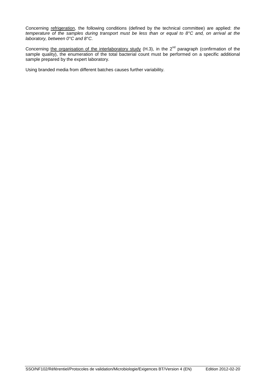Concerning refrigeration, the following conditions (defined by the technical committee) are applied: *the temperature of the samples during transport must be less than or equal to 8°C and, on arrival at the laboratory, between 0°C and 8°C.*

Concerning the organisation of the interlaboratory study (H.3), in the  $2^{nd}$  paragraph (confirmation of the sample quality), the enumeration of the total bacterial count must be performed on a specific additional sample prepared by the expert laboratory.

Using branded media from different batches causes further variability.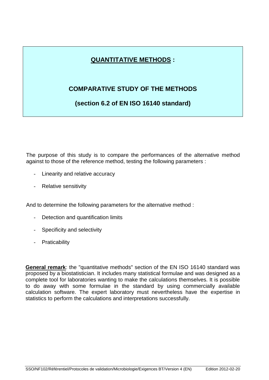# **QUANTITATIVE METHODS :**

# <span id="page-18-0"></span>**COMPARATIVE STUDY OF THE METHODS**

# **(section 6.2 of EN ISO 16140 standard)**

The purpose of this study is to compare the performances of the alternative method against to those of the reference method, testing the following parameters :

- Linearity and relative accuracy
- Relative sensitivity

And to determine the following parameters for the alternative method :

- Detection and quantification limits
- Specificity and selectivity
- Praticability

**General remark**: the "quantitative methods" section of the EN ISO 16140 standard was proposed by a biostatistician. It includes many statistical formulae and was designed as a complete tool for laboratories wanting to make the calculations themselves. It is possible to do away with some formulae in the standard by using commercially available calculation software. The expert laboratory must nevertheless have the expertise in statistics to perform the calculations and interpretations successfully.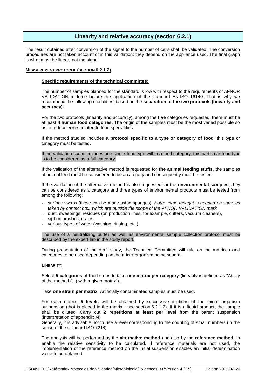### **Linearity and relative accuracy (section 6.2.1)**

<span id="page-19-0"></span>The result obtained after conversion of the signal to the number of cells shall be validated. The conversion procedures are not taken account of in this validation: they depend on the appliance used. The final graph is what must be linear, not the signal.

#### **MEASUREMENT PROTOCOL (SECTION 6.2.1.2)**

#### **Specific requirements of the technical committee:**

The number of samples planned for the standard is low with respect to the requirements of AFNOR VALIDATION in force before the application of the standard EN ISO 16140. That is why we recommend the following modalities, based on the **separation of the two protocols (linearity and accuracy)**:

For the two protocols (linearity and accuracy), among the **five** categories requested, there must be at least **4 human food categories**. The origin of the samples must be the most varied possible so as to reduce errors related to food specialities.

If the method studied includes a **protocol specific to a type or category of foo**d, this type or category must be tested.

If the validation scope includes one single food type within a food category, this particular food type is to be considered as a full category.

If the validation of the alternative method is requested for **the animal feeding stuffs**, the samples of animal feed must be considered to be a category and consequently must be tested.

If the validation of the alternative method is also requested for the **environmental samples**, they can be considered as a category and three types of environmental products must be tested from among the following:

- surface swabs (these can be made using sponges). *Note: some thought is needed on samples taken by contact box, which are outside the scope of the AFNOR VALIDATION mark*
- dust, sweepings, residues (on production lines, for example, cutters, vacuum cleaners),
- siphon brushes, drains,
- various types of water (washing, rinsing, etc.)

The use of a neutralizing buffer as well as environmental sample collection protocol must be described by the expert lab in the study report.

During presentation of the draft study, the Technical Committee will rule on the matrices and categories to be used depending on the micro-organism being sought.

#### **LINEARITY:**

Select **5 categories** of food so as to take **one matrix per category** (linearity is defined as "Ability of the method (...) with a given matrix").

Take **one strain per matrix**. Artificially contaminated samples must be used.

For each matrix, **5 levels** will be obtained by successive dilutions of the micro organism suspension (that is placed in the matrix - see section 6.2.1.2). If it is a liquid product, the sample shall be diluted. Carry out **2 repetitions at least per level** from the parent suspension (interpretation of appendix M).

Generally, it is advisable not to use a level corresponding to the counting of small numbers (in the sense of the standard ISO 7218).

The analysis will be performed by the **alternative method** and also by the **reference method**, to enable the relative sensitivity to be calculated. If reference materials are not used, the implementation of the reference method on the initial suspension enables an initial determination value to be obtained.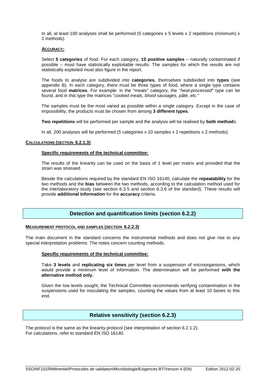In all, at least 100 analyses shall be performed (5 categories x 5 levels x 2 repetitions (minimum) x 2 methods).

#### **ACCURACY:**

Select **5 categories** of food. For each category, **10 positive samples** – naturally contaminated if possible – must have statistically exploitable results. The samples for which the results are not statistically exploited must also figure in the report.

The foods to analyse are subdivided into **categories**, themselves subdivided into **types** (see appendix B). In each category, there must be three types of food, where a single type contains several food **matrices**. For example: in the "meats" category, the "*heat-processed*" type can be found, and in this type the matrices "*cooked meals, blood sausages, pâté, etc.*"

The samples must be the most varied as possible within a single category. Except in the case of impossibility, the products must be chosen from among **3 different types**.

**Two repetitions** will be performed per sample and the analysis will be realised by **both method**s.

In all, 200 analyses will be performed (5 categories x 10 samples x 2 repetitions x 2 methods).

#### **CALCULATIONS (SECTION 6.2.1.3)**

#### **Specific requirements of the technical committee:**

The results of the linearity can be used on the basis of 1 level per matrix and provided that the strain was stressed.

Beside the calculations required by the standard EN ISO 16140, calculate the **repeatability** for the two methods and the **bias** between the two methods, according to the calculation method used for the interlaboratory study (see section 6.3.5 and section 6.3.6 of the standard). These results will provide **additional information** for the **accuracy** criteria.

## **Detection and quantification limits (section 6.2.2)**

#### <span id="page-20-0"></span>**MEASUREMENT PROTOCOL AND SAMPLES (SECTION 6.2.2.3)**

The main document in the standard concerns the instrumental methods and does not give rise to any special interpretation problems. The notes concern counting methods.

#### **Specific requirements of the technical committee:**

Take **3 levels** and **replicating six times** per level from a suspension of microorganisms, which would provide a minimum level of information. The determination will be performed **with the alternative method only.**

Given the low levels sought, the Technical Committee recommends verifying contamination in the suspensions used for inoculating the samples, counting the values from at least 10 boxes to this end.

### **Relative sensitivity (section 6.2.3)**

<span id="page-20-1"></span>The protocol is the same as the linearity protocol (see interpretation of section 6.2.1.2). For calculations, refer to standard EN ISO 16140.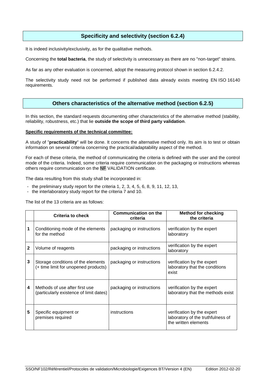## **Specificity and selectivity (section 6.2.4)**

<span id="page-21-0"></span>It is indeed inclusivity/exclusivity, as for the qualitative methods.

Concerning the **total bacteria**, the study of selectivity is unnecessary as there are no "non-target" strains.

As far as any other evaluation is concerned, adopt the measuring protocol shown in section 6.2.4.2.

The selectivity study need not be performed if published data already exists meeting EN ISO 16140 requirements.

### **Others characteristics of the alternative method (section 6.2.5)**

<span id="page-21-1"></span>In this section, the standard requests documenting other characteristics of the alternative method (stability, reliability, robustness, etc.) that lie **outside the scope of third party validation**.

#### **Specific requirements of the technical committee:**

A study of "**practicability**" will be done. It concerns the alternative method only. Its aim is to test or obtain information on several criteria concerning the practical/adaptability aspect of the method.

For each of these criteria, the method of communicating the criteria is defined with the user and the control mode of the criteria. Indeed, some criteria require communication on the packaging or instructions whereas others require communication on the NF VALIDATION certificate.

The data resulting from this study shall be incorporated in:

- the preliminary study report for the criteria 1, 2, 3, 4, 5, 6, 8, 9, 11, 12, 13,
- the interlaboratory study report for the criteria 7 and 10.

The list of the 13 criteria are as follows:

|   | <b>Criteria to check</b>                                                   | <b>Communication on the</b><br>criteria | <b>Method for checking</b><br>the criteria                                              |
|---|----------------------------------------------------------------------------|-----------------------------------------|-----------------------------------------------------------------------------------------|
| 1 | Conditioning mode of the elements<br>for the method                        | packaging or instructions               | verification by the expert<br>laboratory                                                |
| 2 | Volume of reagents                                                         | packaging or instructions               | verification by the expert<br>laboratory                                                |
| 3 | Storage conditions of the elements<br>(+ time limit for unopened products) | packaging or instructions               | verification by the expert<br>laboratory that the conditions<br>exist                   |
| 4 | Methods of use after first use<br>(particularly existence of limit dates)  | packaging or instructions               | verification by the expert<br>laboratory that the methods exist                         |
| 5 | Specific equipment or<br>premises required                                 | instructions                            | verification by the expert<br>laboratory of the truthfulness of<br>the written elements |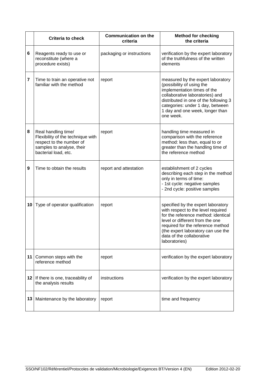|    | <b>Criteria to check</b>                                                                                                                  | <b>Communication on the</b><br>criteria | <b>Method for checking</b><br>the criteria                                                                                                                                                                                                                                  |
|----|-------------------------------------------------------------------------------------------------------------------------------------------|-----------------------------------------|-----------------------------------------------------------------------------------------------------------------------------------------------------------------------------------------------------------------------------------------------------------------------------|
| 6  | Reagents ready to use or<br>reconstitute (where a<br>procedure exists)                                                                    | packaging or instructions               | verification by the expert laboratory<br>of the truthfulness of the written<br>elements                                                                                                                                                                                     |
| 7  | Time to train an operative not<br>familiar with the method                                                                                | report                                  | measured by the expert laboratory<br>(possibility of using the<br>implementation times of the<br>collaborative laboratories) and<br>distributed in one of the following 3<br>categories: under 1 day, between<br>1 day and one week, longer than<br>one week.               |
| 8  | Real handling time/<br>Flexibility of the technique with<br>respect to the number of<br>samples to analyse, their<br>bacterial load, etc. | report                                  | handling time measured in<br>comparison with the reference<br>method: less than, equal to or<br>greater than the handling time of<br>the reference method                                                                                                                   |
| 9  | Time to obtain the results                                                                                                                | report and attestation                  | establishment of 2 cycles<br>describing each step in the method<br>only in terms of time:<br>- 1st cycle: negative samples<br>- 2nd cycle: positive samples                                                                                                                 |
| 10 | Type of operator qualification                                                                                                            | report                                  | specified by the expert laboratory<br>with respect to the level required<br>for the reference method: identical<br>level or different from the one<br>required for the reference method<br>(the expert laboratory can use the<br>data of the collaborative<br>laboratories) |
| 11 | Common steps with the<br>reference method                                                                                                 | report                                  | verification by the expert laboratory                                                                                                                                                                                                                                       |
|    | 12 If there is one, traceability of<br>the analysis results                                                                               | instructions                            | verification by the expert laboratory                                                                                                                                                                                                                                       |
| 13 | Maintenance by the laboratory                                                                                                             | report                                  | time and frequency                                                                                                                                                                                                                                                          |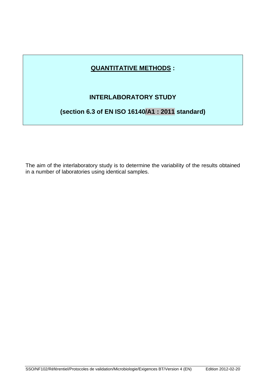# **QUANTITATIVE METHODS :**

# **INTERLABORATORY STUDY**

# <span id="page-23-0"></span>**(section 6.3 of EN ISO 16140/A1 : 2011 standard)**

The aim of the interlaboratory study is to determine the variability of the results obtained in a number of laboratories using identical samples.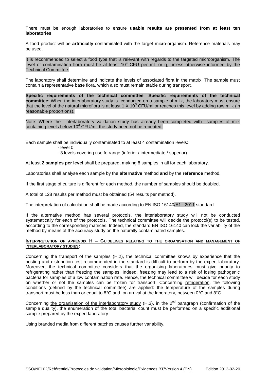There must be enough laboratories to ensure **usable results are presented from at least ten laboratories**.

A food product will be **artificially** contaminated with the target micro-organism. Reference materials may be used.

It is recommended to select a food type that is relevant with regards to the targeted microorganism. The level of contamination flora must be at least 10 $3$  CFU per mL or g, unless otherwise informed by the Technical Committee.

The laboratory shall determine and indicate the levels of associated flora in the matrix. The sample must contain a representative base flora, which also must remain stable during transport.

**Specific requirements of the technical committee**: **Specific requirements of the technical committee**: When the interlaboratory study is conducted on a sample of milk, the laboratory must ensure that the level of the natural microflora is at least 1 X 10<sup>3</sup> CFU/ml or reaches this level by adding raw milk (in reasonable proportions).

Note: Where the interlaboratory validation study has already been completed with samples of milk containing levels below  $10^3$  CFU/ml, the study need not be repeated.

Each sample shall be individually contaminated to at least 4 contamination levels:

- level 0

- 3 levels covering use fo range (inferior / intermediate / superior)

At least **2 samples per level** shall be prepared, making 8 samples in all for each laboratory.

Laboratories shall analyse each sample by the **alternative** method **and** by the **reference** method.

If the first stage of culture is different for each method, the number of samples should be doubled.

A total of 128 results per method must be obtained (54 results per method).

The interpretation of calculation shall be made according to EN ISO 16140/A1 : 2011 standard.

If the alternative method has several protocols, the interlaboratory study will not be conducted systematically for each of the protocols. The technical committee will decide the protocol(s) to be tested, according to the corresponding matrices. Indeed, the standard EN ISO 16140 can lock the variability of the method by means of the accuracy study on the naturally contaminated samples.

#### **INTERPRETATION OF APPENDIX H – GUIDELINES RELATING TO THE ORGANISATION AND MANAGEMENT OF INTERLABORATORY STUDIES:**

Concerning the transport of the samples (H.2), the technical committee knows by experience that the posting and distribution test recommended in the standard is difficult to perform by the expert laboratory. Moreover, the technical committee considers that the organising laboratories must give priority to refrigerating rather than freezing the samples. Indeed, freezing may lead to a risk of losing pathogenic bacteria for samples of a low contamination rate. Hence, the technical committee will decide for each study on whether or not the samples can be frozen for transport. Concerning refrigeration, the following conditions (defined by the technical committee) are applied: the temperature of the samples during transport must be less than or equal to 8°C and, on arrival at the laboratory, between 0°C and 8°C.

Concerning the organisation of the interlaboratory study (H.3), in the  $2^{nd}$  paragraph (confirmation of the sample quality), the enumeration of the total bacterial count must be performed on a specific additional sample prepared by the expert laboratory.

Using branded media from different batches causes further variability.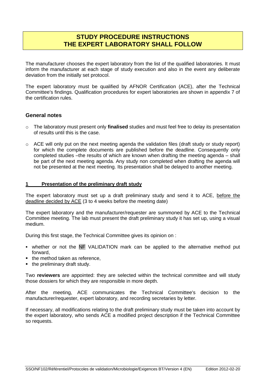# **STUDY PROCEDURE INSTRUCTIONS THE EXPERT LABORATORY SHALL FOLLOW**

<span id="page-25-0"></span>The manufacturer chooses the expert laboratory from the list of the qualified laboratories. It must inform the manufacturer at each stage of study execution and also in the event any deliberate deviation from the initially set protocol.

The expert laboratory must be qualified by AFNOR Certification (ACE), after the Technical Committee's findings. Qualification procedures for expert laboratories are shown in appendix 7 of the certification rules.

## **General notes**

- o The laboratory must present only **finalised** studies and must feel free to delay its presentation of results until this is the case.
- $\circ$  ACE will only put on the next meeting agenda the validation files (draft study or study report) for which the complete documents are published before the deadline. Consequently only completed studies –the results of which are known when drafting the meeting agenda – shall be part of the next meeting agenda. Any study non completed when drafting the agenda will not be presented at the next meeting. Its presentation shall be delayed to another meeting.

#### <span id="page-25-1"></span>**1 Presentation of the preliminary draft study**

The expert laboratory must set up a draft preliminary study and send it to ACE, before the deadline decided by ACE (3 to 4 weeks before the meeting date)

The expert laboratory and the manufacturer/requester are summoned by ACE to the Technical Committee meeting. The lab must present the draft preliminary study it has set up, using a visual medium.

During this first stage, the Technical Committee gives its opinion on :

- whether or not the NF VALIDATION mark can be applied to the alternative method put forward,
- the method taken as reference,
- the preliminary draft study.

Two **reviewers** are appointed: they are selected within the technical committee and will study those dossiers for which they are responsible in more depth.

After the meeting, ACE communicates the Technical Committee's decision to the manufacturer/requester, expert laboratory, and recording secretaries by letter.

If necessary, all modifications relating to the draft preliminary study must be taken into account by the expert laboratory, who sends ACE a modified project description if the Technical Committee so requests.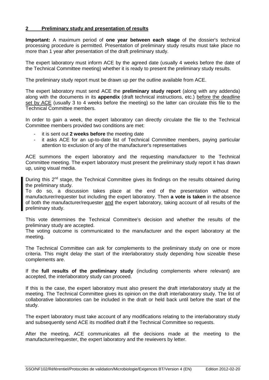### **2 Preliminary study and presentation of results**

**Important:** A maximum period of **one year between each stage** of the dossier's technical processing procedure is permitted. Presentation of preliminary study results must take place no more than 1 year after presentation of the draft preliminary study.

The expert laboratory must inform ACE by the agreed date (usually 4 weeks before the date of the Technical Committee meeting) whether it is ready to present the preliminary study results.

The preliminary study report must be drawn up per the outline available from ACE.

The expert laboratory must send ACE the **preliminary study report** (along with any addenda) along with the documents in its **appendix** (draft technical instructions, etc.) before the deadline set by ACE (usually 3 to 4 weeks before the meeting) so the latter can circulate this file to the Technical Committee members.

In order to gain a week, the expert laboratory can directly circulate the file to the Technical Committee members provided two conditions are met:

- it is sent out **2 weeks before** the meeting date
- it asks ACE for an up-to-date list of Technical Committee members, paying particular attention to exclusion of any of the manufacturer's representatives

ACE summons the expert laboratory and the requesting manufacturer to the Technical Committee meeting. The expert laboratory must present the preliminary study report it has drawn up, using visual media.

During this  $2^{nd}$  stage, the Technical Committee gives its findings on the results obtained during the preliminary study.

To do so, a discussion takes place at the end of the presentation without the manufacturer/requester but including the expert laboratory. Then **a vote is taken** in the absence of both the manufacturer/requester and the expert laboratory, taking account of all results of the preliminary study.

This vote determines the Technical Committee's decision and whether the results of the preliminary study are accepted.

The voting outcome is communicated to the manufacturer and the expert laboratory at the meeting.

The Technical Committee can ask for complements to the preliminary study on one or more criteria. This might delay the start of the interlaboratory study depending how sizeable these complements are.

If the **full results of the preliminary study** (including complements where relevant) are accepted, the interlaboratory study can proceed.

If this is the case, the expert laboratory must also present the draft interlaboratory study at the meeting. The Technical Committee gives its opinion on the draft interlaboratory study. The list of collaborative laboratories can be included in the draft or held back until before the start of the study.

The expert laboratory must take account of any modifications relating to the interlaboratory study and subsequently send ACE its modified draft if the Technical Committee so requests.

After the meeting, ACE communicates all the decisions made at the meeting to the manufacturer/requester, the expert laboratory and the rewievers by letter.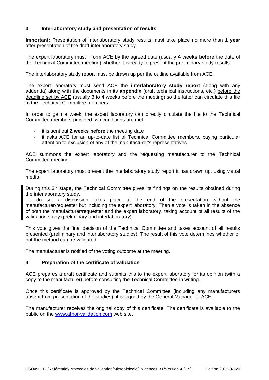### <span id="page-27-0"></span>**3 Interlaboratory study and presentation of results**

**Important:** Presentation of interlaboratory study results must take place no more than **1 year** after presentation of the draft interlaboratory study.

The expert laboratory must inform ACE by the agreed date (usually **4 weeks before** the date of the Technical Committee meeting) whether it is ready to present the preliminary study results.

The interlaboratory study report must be drawn up per the outline available from ACE.

The expert laboratory must send ACE the **interlaboratory study report** (along with any addenda) along with the documents in its **appendix** (draft technical instructions, etc.) before the deadline set by ACE (usually 3 to 4 weeks before the meeting) so the latter can circulate this file to the Technical Committee members.

In order to gain a week, the expert laboratory can directly circulate the file to the Technical Committee members provided two conditions are met:

- it is sent out 2 weeks before the meeting date
- it asks ACE for an up-to-date list of Technical Committee members, paying particular attention to exclusion of any of the manufacturer's representatives

ACE summons the expert laboratory and the requesting manufacturer to the Technical Committee meeting.

The expert laboratory must present the interlaboratory study report it has drawn up, using visual media.

During this  $3<sup>rd</sup>$  stage, the Technical Committee gives its findings on the results obtained during the interlaboratory study.

To do so, a discussion takes place at the end of the presentation without the manufacturer/requester but including the expert laboratory. Then a vote is taken in the absence of both the manufacturer/requester and the expert laboratory, taking account of all results of the validation study (preliminary and interlaboratory).

This vote gives the final decision of the Technical Committee and takes account of all results presented (preliminary and interlaboratory studies). The result of this vote determines whether or not the method can be validated.

The manufacturer is notified of the voting outcome at the meeting.

### <span id="page-27-1"></span>**4 Preparation of the certificate of validation**

ACE prepares a draft certificate and submits this to the expert laboratory for its opinion (with a copy to the manufacturer) before consulting the Technical Committee in writing.

Once this certificate is approved by the Technical Committee (including any manufacturers absent from presentation of the studies), it is signed by the General Manager of ACE.

The manufacturer receives the original copy of this certificate. The certificate is available to the public on the [www.afnor-validation.com](http://www.afnor-validation.com/) web site.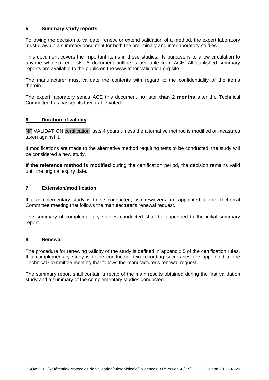### <span id="page-28-0"></span>**5 Summary study reports**

Following the decision to validate, renew, or extend validation of a method, the expert laboratory must draw up a summary document for both the preliminary and interlaboratory studies.

This document covers the important items in these studies. Its purpose is to allow circulation to anyone who so requests. A document outline is available from ACE. All published summary reports are available to the public on the www.afnor-validation.org site.

The manufacturer must validate the contents with regard to the confidentiality of the items therein.

The expert laboratory sends ACE this document no later **than 2 months** after the Technical Committee has passed its favourable voted.

#### <span id="page-28-1"></span>**6 Duration of validity**

NF VALIDATION certification lasts 4 years unless the alternative method is modified or measures taken against it.

If modifications are made to the alternative method requiring tests to be conducted, the study will be considered a new study.

**If the reference method is modified** during the certification period, the decision remains valid until the original expiry date.

### **7 Extension/modification**

If a complementary study is to be conducted, two rewievers are appointed at the Technical Committee meeting that follows the manufacturer's renewal request.

The summary of complementary studies conducted shall be appended to the initial summary report.

#### <span id="page-28-2"></span>**8 Renewal**

The procedure for renewing validity of the study is defined in appendix 5 of the certification rules. If a complementary study is to be conducted, two recording secretaries are appointed at the Technical Committee meeting that follows the manufacturer's renewal request.

The summary report shall contain a recap of the main results obtained during the first validation study and a summary of the complementary studies conducted.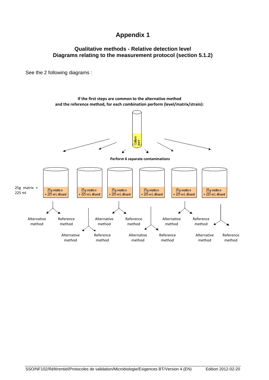# **Appendix 1**

# <span id="page-29-0"></span>**Qualitative methods - Relative detection level Diagrams relating to the measurement protocol (section 5.1.2)**

See the 2 following diagrams :

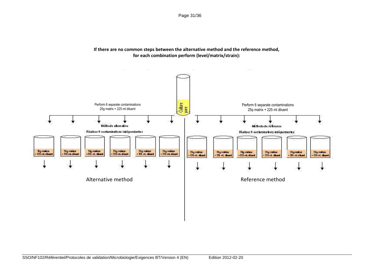Page 31/36



## **If there are no common steps between the alternative method and the reference method, for each combination perform (level/matrix/strain):**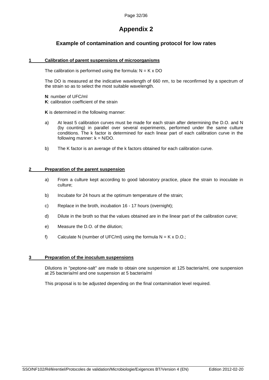# **Appendix 2**

# <span id="page-31-0"></span>**Example of contamination and counting protocol for low rates**

#### **1 Calibration of parent suspensions of microorganisms**

The calibration is performed using the formula:  $N = K \times DO$ 

The DO is measured at the indicative wavelength of 660 nm, to be reconfirmed by a spectrum of the strain so as to select the most suitable wavelength.

**N**: number of UFC/ml **K**: calibration coefficient of the strain

**K** is determined in the following manner:

- a) At least 5 calibration curves must be made for each strain after determining the D.O. and N (by counting) in parallel over several experiments, performed under the same culture conditions. The k factor is determined for each linear part of each calibration curve in the following manner:  $k = N/DO$ .
- b) The K factor is an average of the k factors obtained for each calibration curve.

#### **2 Preparation of the parent suspension**

- a) From a culture kept according to good laboratory practice, place the strain to inoculate in culture;
- b) Incubate for 24 hours at the optimum temperature of the strain;
- c) Replace in the broth, incubation 16 17 hours (overnight);
- d) Dilute in the broth so that the values obtained are in the linear part of the calibration curve;
- e) Measure the D.O. of the dilution;
- f) Calculate N (number of UFC/ml) using the formula  $N = K \times D.0$ .;

#### **3 Preparation of the inoculum suspensions**

Dilutions in "peptone-salt" are made to obtain one suspension at 125 bacteria/ml, one suspension at 25 bacteria/ml and one suspension at 5 bacteria/ml

This proposal is to be adjusted depending on the final contamination level required.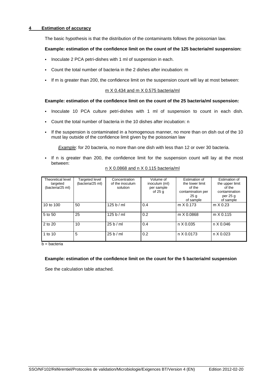### **4 Estimation of accuracy**

The basic hypothesis is that the distribution of the contaminants follows the poissonian law.

#### **Example: estimation of the confidence limit on the count of the 125 bacteria/ml suspension:**

- Inoculate 2 PCA petri-dishes with 1 ml of suspension in each.
- Count the total number of bacteria in the 2 dishes after incubation: m
- If m is greater than 200, the confidence limit on the suspension count will lay at most between:

#### m X 0.434 and m X 0.575 bacteria/ml

#### **Example: estimation of the confidence limit on the count of the 25 bacteria/ml suspension:**

- Inoculate 10 PCA culture petri-dishes with 1 ml of suspension to count in each dish.
- Count the total number of bacteria in the 10 dishes after incubation: n
- If the suspension is contaminated in a homogenous manner, no more than on dish out of the 10 must lay outside of the confidence limit given by the poissonian law

*Example*: for 20 bacteria, no more than one dish with less than 12 or over 30 bacteria.

If n is greater than 200, the confidence limit for the suspension count will lay at the most between:

| Theoretical level | <b>Targeted level</b> | Concentration   | Volume of     | Estimation of     | Estimation of    |
|-------------------|-----------------------|-----------------|---------------|-------------------|------------------|
| targeted          | (bacteria/25 ml)      | of the inoculum | inoculum (ml) | the lower limit   | the upper limit  |
| (bacteria/25 ml)  |                       | solution        | per sample    | of the            | of the           |
|                   |                       |                 | of $25g$      | contamination per | contamination    |
|                   |                       |                 |               | 25 <sub>q</sub>   | per 25 g         |
|                   |                       |                 |               | of sample         | of sample        |
| 10 to 100         | 50                    | 125 b/ml        | 0.4           | $m \times 0.173$  | $m \times 0.23$  |
| 5 to 50           | 25                    | 125 b / ml      | 0.2           | m X 0.0868        | $m \times 0.115$ |
| 2 to 20           | 10                    | 25 b/ml         | 0.4           | n X 0.035         | n X 0.046        |
| 1 to 10           | 5                     | 25 b/ml         | 0.2           | n X 0.0173        | n X 0.023        |

#### n X 0.0868 and n X 0.115 bacteria/ml

 $b =$  bacteria

#### **Example: estimation of the confidence limit on the count for the 5 bacteria/ml suspension**

See the calculation table attached.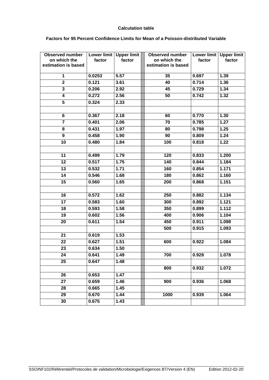#### **Calculation table**

#### **Factors for 95 Percent Confidence Limits for Mean of a Poisson-distributed Variable**

| <b>Observed number</b><br>on which the<br>estimation is based | Lower limit<br>factor | <b>Upper limit</b><br>factor | <b>Observed number</b><br>on which the<br>estimation is based | Lower limit<br>factor | <b>Upper limit</b><br>factor |
|---------------------------------------------------------------|-----------------------|------------------------------|---------------------------------------------------------------|-----------------------|------------------------------|
| 1                                                             | 0.0253                | 5.57                         | 35                                                            | 0.697                 | 1.39                         |
| $\overline{2}$                                                | 0.121                 | 3.61                         | 40                                                            | 0.714                 | 1.36                         |
| $\overline{\mathbf{3}}$                                       | 0.206                 | 2.92                         | 45                                                            | 0.729                 | 1.34                         |
| 4                                                             | 0.272                 | 2.56                         | 50                                                            | 0.742                 | $1.\overline{32}$            |
| 5                                                             | 0.324                 | 2.33                         |                                                               |                       |                              |
|                                                               |                       |                              |                                                               |                       |                              |
| 6                                                             | 0.367                 | 2.18                         | 60                                                            | 0.770                 | 1.30                         |
| $\overline{7}$                                                | 0.401                 | 2.06                         | 70                                                            | 0.785                 | 1.27                         |
| 8                                                             | 0.431                 | 1.97                         | 80                                                            | 0.798                 | 1.25                         |
| 9                                                             | 0.458                 | 1.90                         | 90                                                            | 0.809                 | 1.24                         |
| 10                                                            | 0.480                 | 1.84                         | 100                                                           | 0.818                 | 1.22                         |
|                                                               |                       |                              |                                                               |                       |                              |
| 11                                                            | 0.499                 | 1.79                         | 120                                                           | 0.833                 | 1.200                        |
| 12                                                            | 0.517                 | 1.75                         | 140                                                           | 0.844                 | 1.184                        |
| 13                                                            | 0.532                 | 1.71                         | 160                                                           | 0.854                 | 1.171                        |
| 14                                                            | 0.546                 | 1.68                         | 180                                                           | 0.862                 | 1.160                        |
| 15                                                            | 0.560                 | 1.65                         | 200                                                           | 0.868                 | 1.151                        |
|                                                               |                       |                              |                                                               |                       |                              |
| 16                                                            | 0.572                 | 1.62                         | 250                                                           | 0.882                 | 1.134                        |
| 17                                                            | 0.583                 | 1.60                         | 300                                                           | 0.892                 | 1.121                        |
| 18                                                            | 0.593                 | 1.58                         | 350                                                           | 0.899                 | 1.112                        |
| 19                                                            | 0.602                 | 1.56                         | 400                                                           | 0.906                 | 1.104                        |
| 20                                                            | 0.611                 | 1.54                         | 450                                                           | 0.911                 | 1.098                        |
|                                                               |                       |                              | 500                                                           | 0.915                 | 1.093                        |
| 21                                                            | 0.619                 | 1.53                         |                                                               |                       |                              |
| 22                                                            | 0.627                 | 1.51                         | 600                                                           | 0.922                 | 1.084                        |
| 23                                                            | 0.634                 | 1.50                         |                                                               |                       |                              |
| 24                                                            | 0.641                 | 1.49                         | 700                                                           | 0.928                 | 1.078                        |
| 25                                                            | 0.647                 | 1.48                         |                                                               |                       |                              |
|                                                               |                       |                              | 800                                                           | 0.932                 | 1.072                        |
| 26                                                            | 0.653                 | 1.47                         |                                                               |                       |                              |
| 27                                                            | 0.659                 | 1.46                         | 900                                                           | 0.936                 | 1.068                        |
| 28                                                            | 0.665                 | 1.45                         |                                                               |                       |                              |
| 29                                                            | 0.670                 | 1.44                         | 1000                                                          | 0.939                 | 1.064                        |
| 30                                                            | 0.675                 | 1.43                         |                                                               |                       |                              |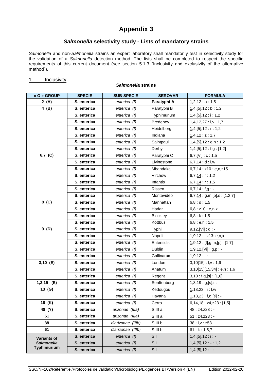# **Appendix 3**

### *Salmonella* **selectivity study - Lists of mandatory strains**

<span id="page-34-0"></span>*Salmonella* and non-*Salmonella* strains an expert laboratory shall mandatorily test in selectivity study for the validation of a *Salmonella* detection method. The lists shall be completed to respect the specific requirements of this current document (see section 5.1.3 "Inclusivity and exclusivity of the alternative method").

*Salmonella* **strains**

#### 1 Inclusivity

### **« O » GROUP SPECIE SUB-SPECIE SEROVAR FORMULA 2 (A) S. enterica** *enterica enterica (I)* **Paratyphi A**  $\left| \frac{1}{2}$ ,12 : a : 1,5 **4 (B) S. enterica enterica** *(I)* Paratyphi B  $\frac{1}{1}$ ,4, [5], 12 : b : 1,2 **S. enterica enterica** (*I*) **c** Typhimurium  $\frac{1}{1,4}$ , [5], 12 : i : 1,2 **S. enterica enterica** (*I*) Bredeney 1,4,12,27 : l,v : 1,7 **S. enterica enterica** (*I*) **enterica enterica e 1**,4,[5],12 : r : 1,2 **S. enterica enterica** (*I*) **denterica 1,4,12 : z : 1,7 S. enterica enterica** (*I*) **Saintpaul 1,4,[5],12 : e,h : 1,2 S. enterica enterica** (*I*) **Derby** 1,4,[5],12 : f,g : [1,2] **6,7 (C) S. enterica enterica** *(I)* Paratyphi C **6,7,[Vi]** : c : 1,5 **S. enterica enterica** (I) **Livingstone** 6,7,14 : d : I,w **S. enterica enterica** (*I*) **Mbandaka 6,7,14** : z10 : e,n,z15 **S. enterica enterica** (*I*) **Virchow 6,7,14** : r:1,2 **S. enterica enterica** (*I*) | Infantis | 6,7,14 : r : 1,5 **S. enterica enterica** (*I*) **Rissen 6,7,14** : f,g : -**S. enterica enterica** (*I*) **enterica** (*I*) **enterica enterica enterica enterica enterica enterica enterica enterica enterica enterica enterica enterica enterica enterica enterica enterica 8 (C) S. enterica enterica** *(I)* Manhattan **6,8** : d : 1,5 **S. enterica enterica** (*I*) **Hadar 6,8 : z10 : e,n,x S. enterica**  $\begin{vmatrix} \cdot & \cdot & \cdot \\ \cdot & \cdot & \cdot \\ \cdot & \cdot & \cdot \end{vmatrix}$  Blockley  $\begin{vmatrix} 6,8 : k : 1,5 \end{vmatrix}$ **S. enterica enterica** (*I*) **Kottbus 6,8** : **e**,h : 1,5 **9 (D) S. enterica enterica** *(I)* Typhi 9,12, [Vi] : d : -**S. enterica enterica** (I) **Repoli enterica enterica enterica enterica enterica enterica enterica enterica enterica enterica enterica enterica enterica enterica enterica enterica enteric S. enterica enterica** (*I)* Enteritidis 1,9,12 : [f],g,m,[p] : [1,7] **S. enterica enterica** (*I*) **Dublin 1,9,12,[Vi] : g,p : -S. enterica** enterica (1) Gallinarum 1,9,12 : - : -**3,10 (E) S. enterica enterica** *(I)* **London 3,10[15]**: **l,v**: 1,6 **S. enterica enterica** (*I*) **Anatum** 3,10[15][15,34] : e,h : 1,6 **S. enterica enterica** (*I*) **Regent 3,10 : f,g,[s] : [1,6] 1,3,19 (E) S. enterica enterica** *(I)* Senftenberg 1,3,19 : g,[s],t : -**13 (G) S. enterica** *enterica (I)* Kedougou 1,13,23 : i : l,w **S. enterica enterica** (*I*) **Havana** 1,13,23 : f,g,[s] : -**18 (K) S. enterica** *enterica (I)* Cerro  $\underline{6,14,18}$  : z4,z23 : [1,5] **48 (Y) S. enterica** *arizonae (IIIa)* S.III a 48 : z4,z23 : - **51 S. enterica** *arizonae (IIIa***) S.III a 51 : z4,z23 : -38 S. enterica** *diarizonae* **(IIIb) S.III b 38 : l,v : z53 61 S. enterica** *diarizonae* **(IIIb) S.III b 61 : k : 1,5,7 Variants of**  *Salmonella*  **Typhimurium S. enterica enterica** (*I*) **S.I** 1,4,[5],12 : i : -**S. enterica enterica** *(I)* S.I 1,4,[5],12 : - : 1,2 **S. enterica enterica** (*I*) **S.I** 1,4,[5],12 : - : -